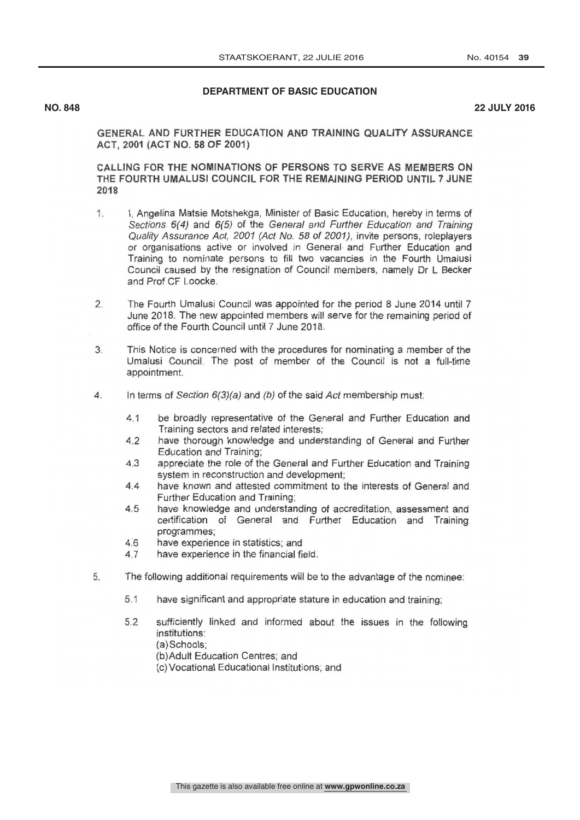## DEPARTMENT OF BASIC EDUCATION

**NO. 848 22 JULY 2016**

GENERAL AND FURTHER EDUCATION AND TRAINING QUALITY ASSURANCE ACT, 2001 (ACT NO. 58 OF 2001)

CALLING FOR THE NOMINATIONS OF PERSONS TO SERVE AS MEMBERS ON THE FOURTH UMALUSI COUNCIL FOR THE REMAINING PERIOD UNTIL 7 JUNE 2018

- 1. I, Angelina Matsie Motshekga, Minister of Basic Education, hereby in terms of Sections 6(4) and 6(5) of the General and Further Education and Training Quality Assurance Act, 2001 (Act No. 58 of 2001), invite persons, roleplayers or organisations active or involved in General and Further Education and Training to nominate persons to fill two vacancies in the Fourth Umalusi Council caused by the resignation of Council members, namely Dr L Becker and Prof CF Loocke.
- $\overline{2}$ . The Fourth Umalusi Council was appointed for the period 8 June 2014 until 7 June 2018. The new appointed members will serve for the remaining period of office of the Fourth Council until 7 June 2018.
- 3. This Notice is concerned with the procedures for nominating a member of the Umalusi Council. The post of member of the Council is not a full-time appointment.
- 4. In terms of Section 6(3)(a) and (b) of the said Act membership must:
	- 4.1 be broadly representative of the General and Further Education and Training sectors and related interests;
	- 4.2 have thorough knowledge and understanding of General and Further Education and Training;
	- 4.3 appreciate the role of the General and Further Education and Training system in reconstruction and development;
	- 4.4 have known and attested commitment to the interests of General and Further Education and Training;
	- 4.5 have knowledge and understanding of accreditation, assessment and certification of General and Further Education and Training programmes;
	- 4.6 have experience in statistics; and<br>4.7 have experience in the financial fie
	- have experience in the financial field.
- 5. The following additional requirements will be to the advantage of the nominee:
	- 5.1 have significant and appropriate stature in education and training;
	- 5.2 sufficiently linked and informed about the issues in the following institutions:
		- (a)Schools;
		- (b)Adult Education Centres; and
		- (c)Vocational Educational Institutions; and